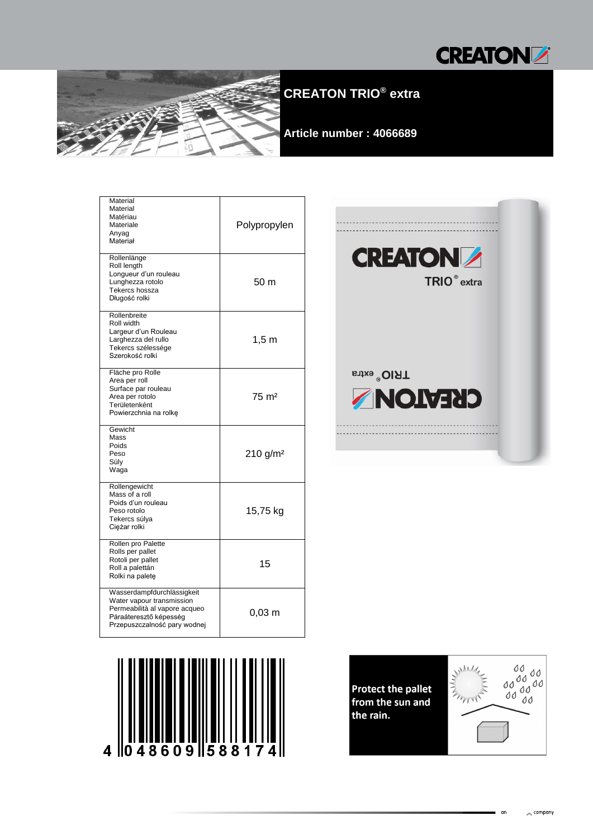



# **CREATON TRIO® extra**

**Article number : 4066689**

| Material<br>Material<br>Matériau<br>Materiale<br>Anyag<br>Materiał                                                                                 | Polypropylen         |  |  |
|----------------------------------------------------------------------------------------------------------------------------------------------------|----------------------|--|--|
| Rollenlänge<br>Roll length<br>Longueur d'un rouleau<br>Lunghezza rotolo<br>Tekercs hossza<br>Długość rolki                                         | 50 m                 |  |  |
| Rollenbreite<br>Roll width<br>Largeur d'un Rouleau<br>Larghezza del rullo<br>Tekercs szélessége<br>Szerokość rolki                                 | $1,5 \text{ m}$      |  |  |
| Fläche pro Rolle<br>Area per roll<br>Surface par rouleau<br>Area per rotolo<br>Területenként<br>Powierzchnia na rolkę                              | $75 \text{ m}^2$     |  |  |
| Gewicht<br>Mass<br>Poids<br>Peso<br>Súly<br>Waga                                                                                                   | 210 g/m <sup>2</sup> |  |  |
| Rollengewicht<br>Mass of a roll<br>Poids d'un rouleau<br>Peso rotolo<br>Tekercs súlya<br>Ciężar rolki                                              | 15,75 kg             |  |  |
| Rollen pro Palette<br>Rolls per pallet<br>Rotoli per pallet<br>Roll a palettán<br>Rolki na paletę                                                  | 15                   |  |  |
| Wasserdampfdurchlässigkeit<br>Water vapour transmission<br>Permeabilità al vapore acqueo<br>Páraáteresztő képesség<br>Przepuszczalność pary wodnej | $0,03 \; \mathrm{m}$ |  |  |





**Protect the pallet** from the sun and the rain.



 $\sim$  company

an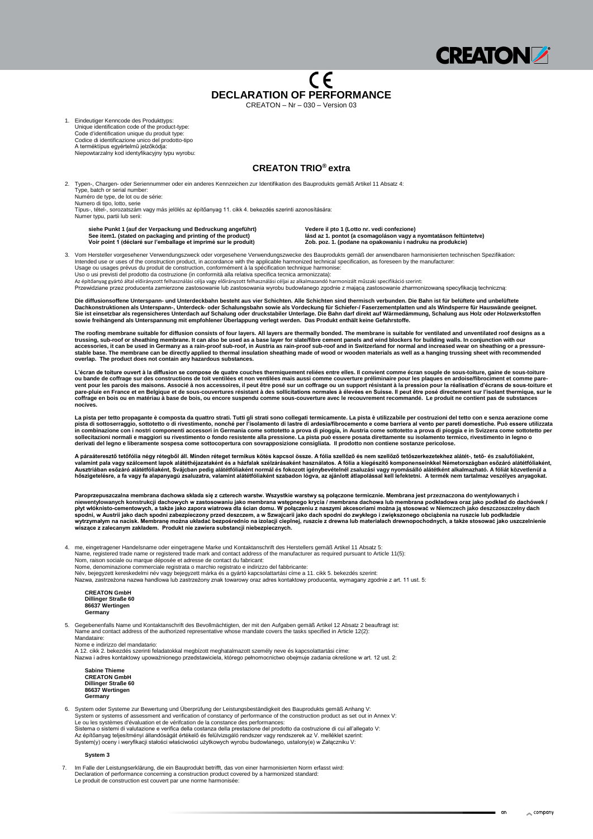

## CE **DECLARATION OF PERFORMANCE**

CREATON – Nr – 030 – Version 03

1. Eindeutiger Kenncode des Produkttyps: Unique identification code of the product-type: Code d'identification unique du produit type: Codice di identificazione unico del prodotto-tipo A terméktípus egyértelmű jelzőkódja: Niepowtarzalny kod identyfikacyjny typu wyrobu:

### **CREATON TRIO® extra**

2. Typen-, Chargen- oder Seriennummer oder ein anderes Kennzeichen zur Identifikation des Bauprodukts gemäß Artikel 11 Absatz 4: Type, batch or serial number: Numéro de type, de lot ou de série: Numero di tipo, lotto, serie Típus-, tétel-, sorozatszám vagy más jelölés az építőanyag 11. cikk 4. bekezdés szerinti azonosítására: Numer typu, partii lub serii:

**siehe Punkt 1 (auf der Verpackung und Bedruckung angeführt) Vedere il pto 1 (Lotto nr. vedi confezione)**

**See item1. (stated on packaging and printing of the product) lásd az 1. pontot (a csomagoláson vagy a nyomtatáson feltüntetve) Voir point 1 (déclaré sur l'emballage et imprimé sur le produit) Zob. poz. 1. (podane na opakowaniu i nadruku na produkcie)**

3. Vom Hersteller vorgesehener Verwendungszweck oder vorgesehene Verwendungszwecke des Bauprodukts gemäß der anwendbaren harmonisierten technischen Spezifikation: Intended use or uses of the construction product, in accordance with the applicable harmonized technical specification, as foreseen by the manufacturer: Usage ou usages prévus du produit de construction, conformément à la spécification technique harmonise: Uso o usi previsti del prodotto da costruzione (in conformità alla relativa specifica tecnica armonizzata): Az építőanyag gyártó által előirányzott felhasználási célja vagy előirányzott felhasználási céljai az alkalmazandó harmonizált műszaki specifikáció szerint:

Przewidziane przez producenta zamierzone zastosowanie lub zastosowania wyrobu budowlanego zgodnie z mającą zastosowanie zharmonizowaną specyfikacją techniczną:

**Die diffusionsoffene Unterspann- und Unterdeckbahn besteht aus vier Schichten. Alle Schichten sind thermisch verbunden. Die Bahn ist für belüftete und unbelüftete Dachkonstruktionen als Unterspann-, Unterdeck- oder Schalungsbahn sowie als Vordeckung für Schiefer-/ Faserzementplatten und als Windsperre für Hauswände geeignet. Sie ist einsetzbar als regensicheres Unterdach auf Schalung oder druckstabiler Unterlage. Die Bahn darf direkt auf Wärmedämmung, Schalung aus Holz oder Holzwerkstoffen sowie freihängend als Unterspannung mit empfohlener Überlappung verlegt werden. Das Produkt enthält keine Gefahrstoffe.**

**The roofing membrane suitable for diffusion consists of four layers. All layers are thermally bonded. The membrane is suitable for ventilated and unventilated roof designs as a trussing, sub-roof or sheathing membrane. It can also be used as a base layer for slate/fibre cement panels and wind blockers for building walls. In conjunction with our accessories, it can be used in Germany as a rain-proof sub-roof, in Austria as rain-proof sub-roof and in Switzerland for normal and increased wear on sheathing or a pressurestable base. The membrane can be directly applied to thermal insulation sheathing made of wood or wooden materials as well as a hanging trussing sheet with recommended overlap. The product does not contain any hazardous substances.**

**L'écran de toiture ouvert à la diffusion se compose de quatre couches thermiquement reliées entre elles. Il convient comme écran souple de sous-toiture, gaine de sous-toiture ou bande de coffrage sur des constructions de toit ventilées et non ventilées mais aussi comme couverture préliminaire pour les plaques en ardoise/fibrociment et comme pare**vent pour les parois des maisons. Associé à nos accessoires, il peut être posé sur un coffrage ou un support résistant à la pression pour la réalisation d'écrans de sous-toiture et pare-pluie en France et en Belgique et de sous-couvertures résistant à des sollicitations normales à élevées en Suisse. Il peut être posé directement sur l'isolant thermique, sur le **coffrage en bois ou en matériau à base de bois, ou encore suspendu comme sous-couverture avec le recouvrement recommandé. Le produit ne contient pas de substances nocives.**

**La pista per tetto propagante è composta da quattro strati. Tutti gli strati sono collegati termicamente. La pista è utilizzabile per costruzioni del tetto con e senza aerazione come pista di sottoserraggio, sottotetto o di rivestimento, nonché per l'isolamento di lastre di ardesia/fibrocemento e come barriera al vento per pareti domestiche. Può essere utilizzata in combinazione con i nostri componenti accessori in Germania come sottotetto a prova di pioggia, in Austria come sottotetto a prova di pioggia e in Svizzera come sottotetto per sollecitazioni normali e maggiori su rivestimento o fondo resistente alla pressione. La pista può essere posata direttamente su isolamento termico, rivestimento in legno o derivati del legno e liberamente sospesa come sottocopertura con sovrapposizione consigliata. Il prodotto non contiene sostanze pericolose.**

**A páraáteresztő tetőfólia négy rétegből áll. Minden réteget termikus kötés kapcsol össze. A fólia szellőző és nem szellőző tetőszerkezetekhez alátét-, tető- és zsalufóliaként, valamint pala vagy szálcement lapok alátéthéjazataként és a házfalak szélzárásaként használatos. A fólia a kiegészítő komponenseinkkel Németországban esőzáró alátétfóliaként, Ausztriában esőzáró alátétfóliaként, Svájcban pedig alátétfóliaként normál és fokozott igénybevételnél zsaluzási vagy nyomásálló alátétként alkalmazható. A fóliát közvetlenül a hőszigetelésre, a fa vagy fa alapanyagú zsaluzatra, valamint alátétfóliaként szabadon lógva, az ajánlott átlapolással kell lefektetni. A termék nem tartalmaz veszélyes anyagokat.**

**Paroprzepuszczalna membrana dachowa składa się z czterech warstw. Wszystkie warstwy są połączone termicznie. Membrana jest przeznaczona do wentylowanych i niewentylowanych konstrukcji dachowych w zastosowaniu jako membrana wstępnego krycia / membrana dachowa lub membrana podkładowa oraz jako podkład do dachówek / płyt włóknisto-cementowych, a także jako zapora wiatrowa dla ścian domu. W połączeniu z naszymi akcesoriami można ją stosować w Niemczech jako deszczoszczelny dach spodni, w Austrii jako dach spodni zabezpieczony przed deszczem, a w Szwajcarii jako dach spodni do zwykłego i zwiększonego obciążenia na ruszcie lub podkładzie wytrzymałym na nacisk. Membranę można układać bezpośrednio na izolacji cieplnej, ruszcie z drewna lub materiałach drewnopochodnych, a także stosować jako uszczelnienie wiszące z zalecanym zakładem. Produkt nie zawiera substancji niebezpiecznych.**

4. me, eingetragener Handelsname oder eingetragene Marke und Kontaktanschrift des Herstellers gemäß Artikel 11 Absatz 5:

Name, registered trade name or registered trade mark and contact address of the manufacturer as required pursuant to Article 11(5):

- Nom, raison sociale ou marque déposée et adresse de contact du fabricant:
- Nome, denominazione commerciale registrata o marchio registrato e indirizzo del fabbricante:

Név, bejegyzett kereskedelmi név vagy bejegyzett márka és a gyártó kapcsolattartási címe a 11. cikk 5. bekezdés szerint:

Nazwa, zastrzeżona nazwa handlowa lub zastrzeżony znak towarowy oraz adres kontaktowy producenta, wymagany zgodnie z art. 11 ust. 5:

**CREATON GmbH Dillinger Straße 60 86637 Wertingen Germany**

5. Gegebenenfalls Name und Kontaktanschrift des Bevollmächtigten, der mit den Aufgaben gemäß Artikel 12 Absatz 2 beauftragt ist: Name and contact address of the authorized representative whose mandate covers the tasks specified in Article 12(2):

Mandataire:

Nome e indirizzo del mandatario:

A 12. cikk 2. bekezdés szerinti feladatokkal megbízott meghatalmazott személy neve és kapcsolattartási címe: Nazwa i adres kontaktowy upoważnionego przedstawiciela, którego pełnomocnictwo obejmuje zadania określone w art. 12 ust. 2:

**Sabine Thieme CREATON GmbH Dillinger Straße 60 86637 Wertingen Germany**

6. System oder Systeme zur Bewertung und Überprüfung der Leistungsbeständigkeit des Bauprodukts gemäß Anhang V: System or systems of assessment and verification of constancy of performance of the construction product as set out in Annex V: Le ou les systèmes d'évaluation et de vérifcation de la constance des performances: Sistema o sistemi di valutazione e verifica della costanza della prestazione del prodotto da costruzione di cui all'allegato V: Az építőanyag teljesítményi állandóságát értékelő és felülvizsgáló rendszer vagy rendszerek az V. melléklet szerint: System(y) oceny i weryfikacji stałości właściwości użytkowych wyrobu budowlanego, ustalony(e) w Załączniku V:

#### **System 3**

7. Im Falle der Leistungserklärung, die ein Bauprodukt betrifft, das von einer harmonisierten Norm erfasst wird: Declaration of performance concerning a construction product covered by a harmonized standard: Le produit de construction est couvert par une norme harmonisée:

 $\sim$  company

an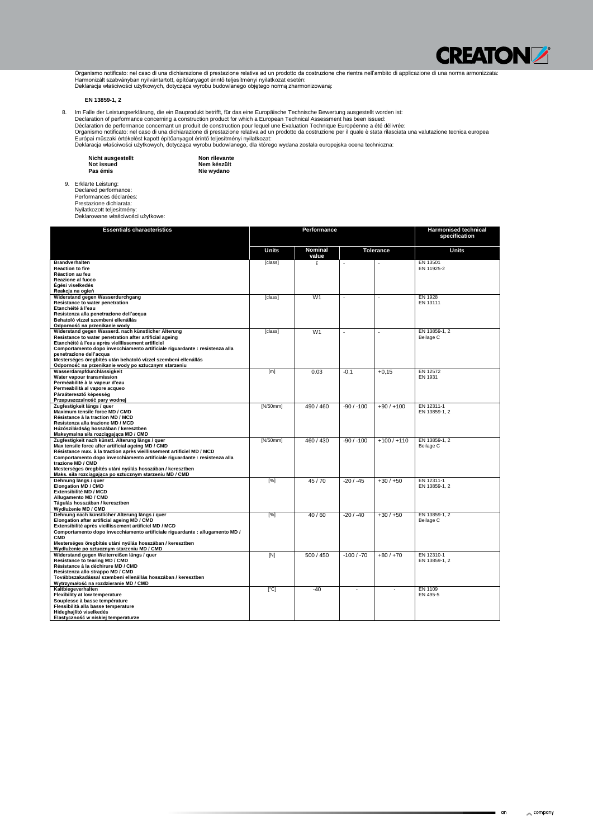

Organismo notificato: nel caso di una dichiarazione di prestazione relativa ad un prodotto da costruzione che rientra nell'ambito di applicazione di una norma armonizzata: Harmonizált szabványban nyilvántartott, építőanyagot érintő teljesítményi nyilatkozat esetén: Deklaracja właściwości użytkowych, dotycząca wyrobu budowlanego objętego normą zharmonizowaną:

### **EN 13859-1, 2**

8. Im Falle der Leistungserklärung, die ein Bauprodukt betrifft, für das eine Europäische Technische Bewertung ausgestellt worden ist:

Declaration of performance concerning a construction product for which a European Technical Assessment has been issued: Déclaration de performance concernant un produit de construction pour lequel une Evaluation Technique Européenne a été délivrée: Organismo notificato: nel caso di una dichiarazione di prestazione relativa ad un prodotto da costruzione per il quale è stata rilasciata una valutazione tecnica europea Európai műszaki értékelést kapott építőanyagot érintő teljesítményi nyilatkozat: Deklaracja właściwości użytkowych, dotycząca wyrobu budowlanego, dla którego wydana została europejska ocena techniczna:

| <b>Nicht ausgestellt</b> | Non rilevante |
|--------------------------|---------------|
| Not issued               | Nem készült   |

**Nie wydano**

**Pas émis** 9. Erklärte Leistung:

Declared performance: Performances déclarées: Prestazione dichiarata: Nyilatkozott teljesítmény: Deklarowane właściwości użytkowe:

| <b>Essentials characteristics</b>                                                                                                                                                                                                                                                                                                                                                                            | <b>Performance</b> |                         |              |                  | <b>Harmonised technical</b><br>specification |
|--------------------------------------------------------------------------------------------------------------------------------------------------------------------------------------------------------------------------------------------------------------------------------------------------------------------------------------------------------------------------------------------------------------|--------------------|-------------------------|--------------|------------------|----------------------------------------------|
|                                                                                                                                                                                                                                                                                                                                                                                                              | <b>Units</b>       | <b>Nominal</b><br>value |              | <b>Tolerance</b> | <b>Units</b>                                 |
| <b>Brandverhalten</b><br><b>Reaction to fire</b><br><b>Réaction au feu</b><br>Reazione al fuoco<br>Égési viselkedés<br>Reakcja na ogień                                                                                                                                                                                                                                                                      | [class]            | Ε                       | $\omega$     |                  | EN 13501<br>EN 11925-2                       |
| Widerstand gegen Wasserdurchgang<br>Resistance to water penetration<br>Etanchéité à l'eau<br>Resistenza alla penetrazione dell'acqua<br>Behatoló vízzel szembeni ellenállás<br>Odporność na przenikanie wody                                                                                                                                                                                                 | [class]            | W <sub>1</sub>          |              |                  | EN 1928<br>EN 13111                          |
| Widerstand gegen Wasserd. nach künstlicher Alterung<br>Resistance to water penetration after artificial ageing<br>Etanchéité à l'eau après vieillissement artificiel<br>Comportamento dopo invecchiamento artificiale riguardante : resistenza alla<br>penetrazione dell'acqua<br>Mesterséges öregbítés után behatoló vízzel szembeni ellenállás<br>Odporność na przenikanie wody po sztucznym starzeniu     | [class]            | W <sub>1</sub>          | $\sim$       |                  | EN 13859-1, 2<br>Beilage C                   |
| Wasserdampfdurchlässigkeit<br>Water vapour transmission<br>Perméabilité à la vapeur d'eau<br>Permeabilità al vapore acqueo<br>Páraáteresztő képesség<br>Przepuszczalność pary wodnej                                                                                                                                                                                                                         | [m]                | 0.03                    | $-0,1$       | $+0,15$          | EN 12572<br>EN 1931                          |
| Zugfestigkeit längs / guer<br>Maximum tensile force MD / CMD<br>Résistance à la traction MD / MCD<br>Resistenza alla trazione MD / MCD<br>Húzószilárdság hosszában / keresztben<br>Maksymalna siła rozciągająca MD / CMD                                                                                                                                                                                     | [N/50mm]           | 490 / 460               | $-90/ -100$  | $+90/+100$       | EN 12311-1<br>EN 13859-1, 2                  |
| Zugfestigkeit nach künstl. Alterung längs / quer<br>Max tensile force after artificial ageing MD / CMD<br>Résistance max. à la traction après vieillissement artificiel MD / MCD<br>Comportamento dopo invecchiamento artificiale riguardante : resistenza alla<br>trazione MD / CMD<br>Mesterséges öregbítés utáni nyúlás hosszában / keresztben<br>Maks. siła rozciągająca po sztucznym starzeniu MD / CMD | [N/50mm]           | 460 / 430               | $-90/ -100$  | $+100/ +110$     | EN 13859-1, 2<br>Beilage C                   |
| Dehnung längs / guer<br><b>Elongation MD / CMD</b><br>Extensibilité MD / MCD<br>Allugamento MD / CMD<br>Tágulás hosszában / keresztben<br>Wydłużenie MD / CMD                                                                                                                                                                                                                                                | [%]                | 45/70                   | $-20/ -45$   | $+30/+50$        | EN 12311-1<br>EN 13859-1, 2                  |
| Dehnung nach künstlicher Alterung längs / quer<br>Elongation after artificial ageing MD / CMD<br>Extensibilité après vieillissement artificiel MD / MCD<br>Comportamento dopo invecchiamento artificiale riguardante : allugamento MD /<br><b>CMD</b><br>Mesterséges öregbítés utáni nyúlás hosszában / keresztben<br>Wydłużenie po sztucznym starzeniu MD / CMD                                             | [%]                | 40/60                   | $-20/ -40$   | $+30/+50$        | EN 13859-1, 2<br>Beilage C                   |
| Widerstand gegen Weiterreißen längs / guer<br>Resistance to tearing MD / CMD<br>Résistance à la déchirure MD / CMD<br>Resistenza allo strappo MD / CMD<br>Továbbszakadással szembeni ellenállás hosszában / keresztben<br>Wytrzymałość na rozdzieranie MD / CMD                                                                                                                                              | [N]                | 500 / 450               | $-100 / -70$ | $+80/+70$        | EN 12310-1<br>EN 13859-1, 2                  |
| Kaltbiegeverhalten<br>Flexibility at low temperature<br>Souplesse à basse température<br>Flessibilità alla basse temperature<br>Hideghajlító viselkedés<br>Elastyczność w niskiej temperaturze                                                                                                                                                                                                               | [°C]               | $-40$                   |              |                  | EN 1109<br>EN 495-5                          |

#### $\sim$  company

■ an